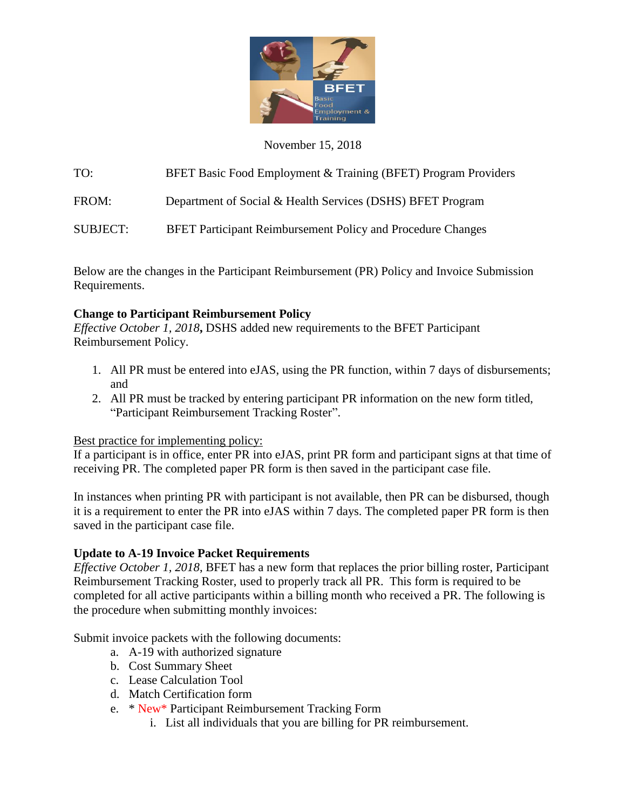

## November 15, 2018

TO: BFET Basic Food Employment & Training (BFET) Program Providers

FROM: Department of Social & Health Services (DSHS) BFET Program

SUBJECT:BFET Participant Reimbursement Policy and Procedure Changes

Below are the changes in the Participant Reimbursement (PR) Policy and Invoice Submission Requirements.

## **Change to Participant Reimbursement Policy**

*Effective October 1, 2018***,** DSHS added new requirements to the BFET Participant Reimbursement Policy.

- 1. All PR must be entered into eJAS, using the PR function, within 7 days of disbursements; and
- 2. All PR must be tracked by entering participant PR information on the new form titled, "Participant Reimbursement Tracking Roster".

## Best practice for implementing policy:

If a participant is in office, enter PR into eJAS, print PR form and participant signs at that time of receiving PR. The completed paper PR form is then saved in the participant case file.

In instances when printing PR with participant is not available, then PR can be disbursed, though it is a requirement to enter the PR into eJAS within 7 days. The completed paper PR form is then saved in the participant case file.

## **Update to A-19 Invoice Packet Requirements**

*Effective October 1, 2018*, BFET has a new form that replaces the prior billing roster, Participant Reimbursement Tracking Roster, used to properly track all PR. This form is required to be completed for all active participants within a billing month who received a PR. The following is the procedure when submitting monthly invoices:

Submit invoice packets with the following documents:

- a. A-19 with authorized signature
- b. Cost Summary Sheet
- c. Lease Calculation Tool
- d. Match Certification form
- e. \* New\* Participant Reimbursement Tracking Form
	- i. List all individuals that you are billing for PR reimbursement.